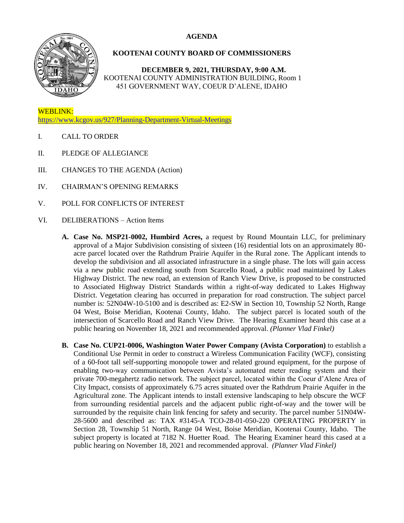## **AGENDA**



## **KOOTENAI COUNTY BOARD OF COMMISSIONERS**

**DECEMBER 9, 2021, THURSDAY, 9:00 A.M.** KOOTENAI COUNTY ADMINISTRATION BUILDING, Room 1 451 GOVERNMENT WAY, COEUR D'ALENE, IDAHO

WEBLINK: <https://www.kcgov.us/927/Planning-Department-Virtual-Meetings>

- I. CALL TO ORDER
- II. PLEDGE OF ALLEGIANCE
- III. CHANGES TO THE AGENDA (Action)
- IV. CHAIRMAN'S OPENING REMARKS
- V. POLL FOR CONFLICTS OF INTEREST
- VI. DELIBERATIONS Action Items
	- **A. Case No. MSP21-0002, Humbird Acres,** a request by Round Mountain LLC, for preliminary approval of a Major Subdivision consisting of sixteen (16) residential lots on an approximately 80 acre parcel located over the Rathdrum Prairie Aquifer in the Rural zone. The Applicant intends to develop the subdivision and all associated infrastructure in a single phase. The lots will gain access via a new public road extending south from Scarcello Road, a public road maintained by Lakes Highway District. The new road, an extension of Ranch View Drive, is proposed to be constructed to Associated Highway District Standards within a right-of-way dedicated to Lakes Highway District. Vegetation clearing has occurred in preparation for road construction. The subject parcel number is: 52N04W-10-5100 and is described as: E2-SW in Section 10, Township 52 North, Range 04 West, Boise Meridian, Kootenai County, Idaho. The subject parcel is located south of the intersection of Scarcello Road and Ranch View Drive. The Hearing Examiner heard this case at a public hearing on November 18, 2021 and recommended approval. *(Planner Vlad Finkel)*
	- **B. Case No. CUP21-0006, Washington Water Power Company (Avista Corporation)** to establish a Conditional Use Permit in order to construct a Wireless Communication Facility (WCF), consisting of a 60-foot tall self-supporting monopole tower and related ground equipment, for the purpose of enabling two-way communication between Avista's automated meter reading system and their private 700-megahertz radio network. The subject parcel, located within the Coeur d'Alene Area of City Impact, consists of approximately 6.75 acres situated over the Rathdrum Prairie Aquifer in the Agricultural zone. The Applicant intends to install extensive landscaping to help obscure the WCF from surrounding residential parcels and the adjacent public right-of-way and the tower will be surrounded by the requisite chain link fencing for safety and security. The parcel number 51N04W-28-5600 and described as: TAX #3145-A TCO-28-01-050-220 OPERATING PROPERTY in Section 28, Township 51 North, Range 04 West, Boise Meridian, Kootenai County, Idaho. The subject property is located at 7182 N. Huetter Road. The Hearing Examiner heard this cased at a public hearing on November 18, 2021 and recommended approval. *(Planner Vlad Finkel)*